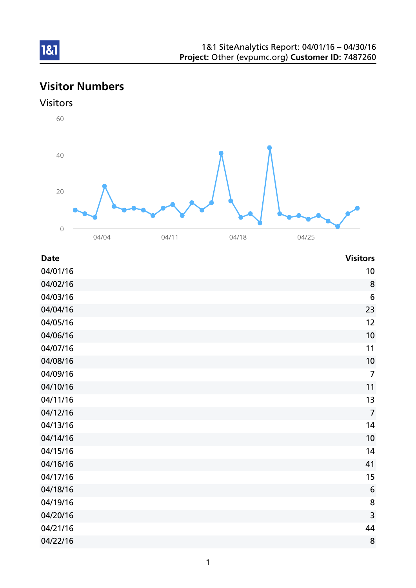# Visitor Numbers

## Visitors



| <b>Date</b> | <b>Visitors</b> |
|-------------|-----------------|
| 04/01/16    | 10              |
| 04/02/16    | 8               |
| 04/03/16    | 6               |
| 04/04/16    | 23              |
| 04/05/16    | 12              |
| 04/06/16    | 10              |
| 04/07/16    | 11              |
| 04/08/16    | 10              |
| 04/09/16    | $\overline{7}$  |
| 04/10/16    | 11              |
| 04/11/16    | 13              |
| 04/12/16    | $\overline{7}$  |
| 04/13/16    | 14              |
| 04/14/16    | 10              |
| 04/15/16    | 14              |
| 04/16/16    | 41              |
| 04/17/16    | 15              |
| 04/18/16    | $6\phantom{1}6$ |
| 04/19/16    | 8               |
| 04/20/16    | 3               |
| 04/21/16    | 44              |
| 04/22/16    | 8               |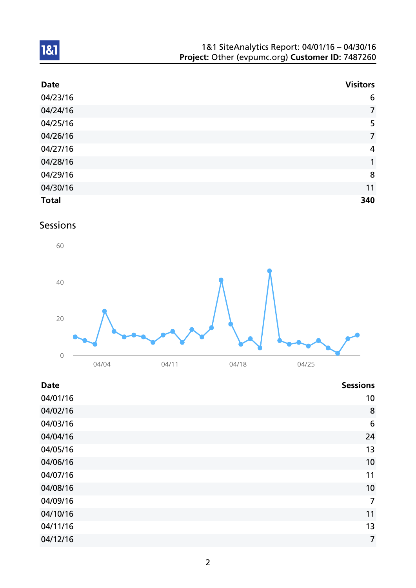| 1&1 SiteAnalytics Report: 04/01/16 - 04/30/16    |  |
|--------------------------------------------------|--|
| Project: Other (evpumc.org) Customer ID: 7487260 |  |

| <b>Date</b>  | <b>Visitors</b> |
|--------------|-----------------|
| 04/23/16     | $6\phantom{1}6$ |
| 04/24/16     | $\overline{7}$  |
| 04/25/16     | 5               |
| 04/26/16     | $\overline{7}$  |
| 04/27/16     | 4               |
| 04/28/16     | 1               |
| 04/29/16     | 8               |
| 04/30/16     | 11              |
| <b>Total</b> | 340             |

# Sessions



| <b>Date</b> | <b>Sessions</b> |
|-------------|-----------------|
| 04/01/16    | 10              |
| 04/02/16    | 8               |
| 04/03/16    | 6               |
| 04/04/16    | 24              |
| 04/05/16    | 13              |
| 04/06/16    | 10              |
| 04/07/16    | 11              |
| 04/08/16    | 10              |
| 04/09/16    | $\overline{7}$  |
| 04/10/16    | 11              |
| 04/11/16    | 13              |
| 04/12/16    | $\overline{7}$  |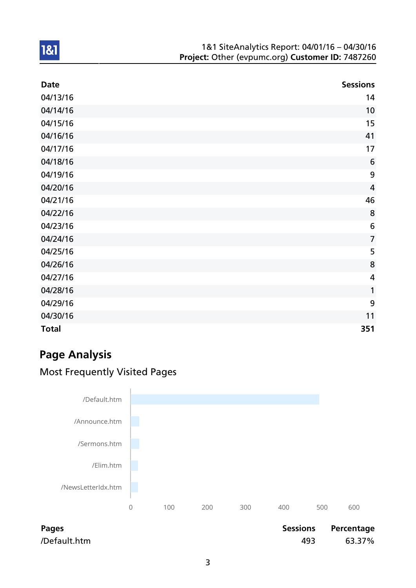| <b>Date</b>  | <b>Sessions</b> |
|--------------|-----------------|
| 04/13/16     | 14              |
| 04/14/16     | 10              |
| 04/15/16     | 15              |
| 04/16/16     | 41              |
| 04/17/16     | 17              |
| 04/18/16     | $6\phantom{1}6$ |
| 04/19/16     | 9               |
| 04/20/16     | $\overline{4}$  |
| 04/21/16     | 46              |
| 04/22/16     | 8               |
| 04/23/16     | $6\phantom{1}6$ |
| 04/24/16     | $\overline{7}$  |
| 04/25/16     | 5               |
| 04/26/16     | 8               |
| 04/27/16     | $\overline{4}$  |
| 04/28/16     | $\mathbf{1}$    |
| 04/29/16     | 9               |
| 04/30/16     | 11              |
| <b>Total</b> | 351             |

# Page Analysis

1&1

# Most Frequently Visited Pages



Pages **Pages** Pages **Pages** Percentage **Pages Percentage** /Default.htm 493 63.37%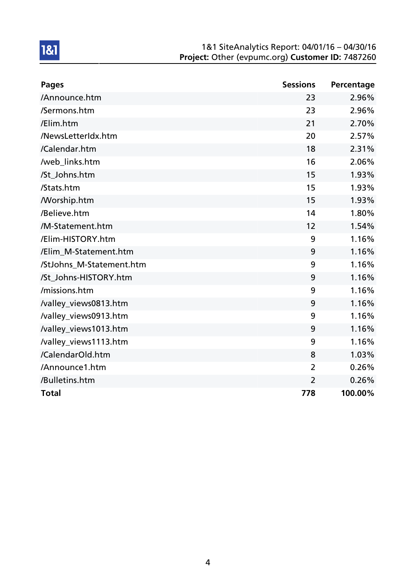| <b>Pages</b>             | <b>Sessions</b> | Percentage |
|--------------------------|-----------------|------------|
| /Announce.htm            | 23              | 2.96%      |
| /Sermons.htm             | 23              | 2.96%      |
| /Elim.htm                | 21              | 2.70%      |
| /NewsLetterIdx.htm       | 20              | 2.57%      |
| /Calendar.htm            | 18              | 2.31%      |
| /web_links.htm           | 16              | 2.06%      |
| /St_Johns.htm            | 15              | 1.93%      |
| /Stats.htm               | 15              | 1.93%      |
| <b>Morship.htm</b>       | 15              | 1.93%      |
| /Believe.htm             | 14              | 1.80%      |
| /M-Statement.htm         | 12              | 1.54%      |
| /Elim-HISTORY.htm        | 9               | 1.16%      |
| /Elim_M-Statement.htm    | 9               | 1.16%      |
| /StJohns_M-Statement.htm | 9               | 1.16%      |
| /St_Johns-HISTORY.htm    | 9               | 1.16%      |
| /missions.htm            | 9               | 1.16%      |
| /valley_views0813.htm    | 9               | 1.16%      |
| /valley_views0913.htm    | 9               | 1.16%      |
| /valley_views1013.htm    | 9               | 1.16%      |
| /valley_views1113.htm    | 9               | 1.16%      |
| /CalendarOld.htm         | 8               | 1.03%      |
| /Announce1.htm           | 2               | 0.26%      |
| /Bulletins.htm           | $\overline{2}$  | 0.26%      |
| <b>Total</b>             | 778             | 100.00%    |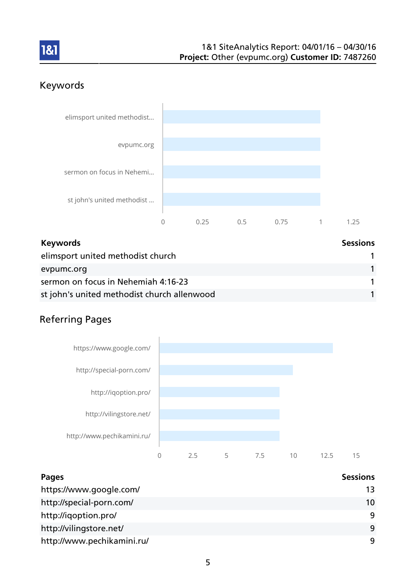

# Keywords



| <b>Keywords</b>                             | <b>Sessions</b> |
|---------------------------------------------|-----------------|
| elimsport united methodist church           |                 |
| evpumc.org                                  |                 |
| sermon on focus in Nehemiah 4:16-23         |                 |
| st john's united methodist church allenwood |                 |

# Referring Pages



| Pages                      | <b>Sessions</b> |
|----------------------------|-----------------|
| https://www.google.com/    | 13              |
| http://special-porn.com/   | 10              |
| http://iqoption.pro/       | 9               |
| http://vilingstore.net/    | 9               |
| http://www.pechikamini.ru/ | 9               |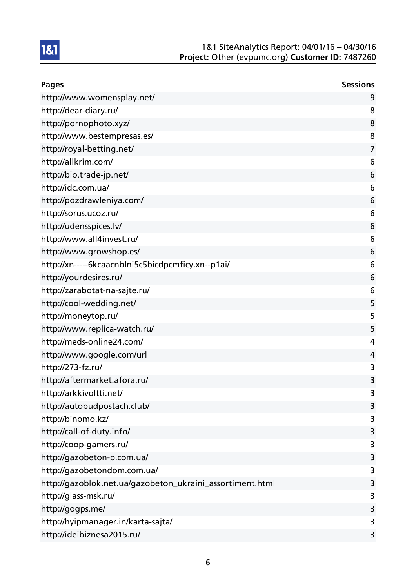| <b>Pages</b>                                              | <b>Sessions</b> |
|-----------------------------------------------------------|-----------------|
| http://www.womensplay.net/                                | 9               |
| http://dear-diary.ru/                                     | 8               |
| http://pornophoto.xyz/                                    | 8               |
| http://www.bestempresas.es/                               | 8               |
| http://royal-betting.net/                                 | 7               |
| http://allkrim.com/                                       | 6               |
| http://bio.trade-jp.net/                                  | 6               |
| http://idc.com.ua/                                        | 6               |
| http://pozdrawleniya.com/                                 | 6               |
| http://sorus.ucoz.ru/                                     | 6               |
| http://udensspices.lv/                                    | 6               |
| http://www.all4invest.ru/                                 | 6               |
| http://www.growshop.es/                                   | 6               |
| http://xn-----6kcaacnblni5c5bicdpcmficy.xn--p1ai/         | 6               |
| http://yourdesires.ru/                                    | 6               |
| http://zarabotat-na-sajte.ru/                             | 6               |
| http://cool-wedding.net/                                  | 5               |
| http://moneytop.ru/                                       | 5               |
| http://www.replica-watch.ru/                              | 5               |
| http://meds-online24.com/                                 | 4               |
| http://www.google.com/url                                 | 4               |
| http://273-fz.ru/                                         | 3               |
| http://aftermarket.afora.ru/                              | 3               |
| http://arkkivoltti.net/                                   | 3               |
| http://autobudpostach.club/                               | 3               |
| http://binomo.kz/                                         | 3               |
| http://call-of-duty.info/                                 | 3               |
| http://coop-gamers.ru/                                    | 3               |
| http://gazobeton-p.com.ua/                                | 3               |
| http://gazobetondom.com.ua/                               | 3               |
| http://gazoblok.net.ua/gazobeton_ukraini_assortiment.html | 3               |
| http://glass-msk.ru/                                      | 3               |
| http://gogps.me/                                          | 3               |
| http://hyipmanager.in/karta-sajta/                        | 3               |
| http://ideibiznesa2015.ru/                                | 3               |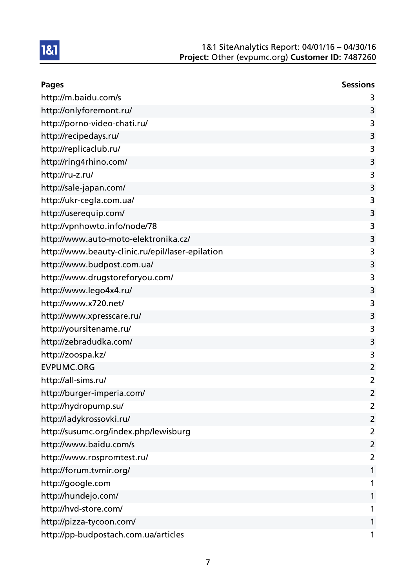

| <b>Pages</b>                                     | <b>Sessions</b> |
|--------------------------------------------------|-----------------|
| http://m.baidu.com/s                             | 3               |
| http://onlyforemont.ru/                          | 3               |
| http://porno-video-chati.ru/                     | 3               |
| http://recipedays.ru/                            | 3               |
| http://replicaclub.ru/                           | 3               |
| http://ring4rhino.com/                           | 3               |
| http://ru-z.ru/                                  | 3               |
| http://sale-japan.com/                           | 3               |
| http://ukr-cegla.com.ua/                         | 3               |
| http://userequip.com/                            | 3               |
| http://vpnhowto.info/node/78                     | 3               |
| http://www.auto-moto-elektronika.cz/             | 3               |
| http://www.beauty-clinic.ru/epil/laser-epilation | 3               |
| http://www.budpost.com.ua/                       | 3               |
| http://www.drugstoreforyou.com/                  | 3               |
| http://www.lego4x4.ru/                           | 3               |
| http://www.x720.net/                             | 3               |
| http://www.xpresscare.ru/                        | 3               |
| http://yoursitename.ru/                          | 3               |
| http://zebradudka.com/                           | 3               |
| http://zoospa.kz/                                | 3               |
| <b>EVPUMC.ORG</b>                                | $\overline{2}$  |
| http://all-sims.ru/                              | $\overline{2}$  |
| http://burger-imperia.com/                       | $\overline{2}$  |
| http://hydropump.su/                             | $\overline{2}$  |
| http://ladykrossovki.ru/                         | $\overline{2}$  |
| http://susumc.org/index.php/lewisburg            | $\overline{2}$  |
| http://www.baidu.com/s                           | $\overline{2}$  |
| http://www.rospromtest.ru/                       | 2               |
| http://forum.tvmir.org/                          | 1               |
| http://google.com                                | 1               |
| http://hundejo.com/                              | 1               |
| http://hvd-store.com/                            | 1               |
| http://pizza-tycoon.com/                         | 1               |
| http://pp-budpostach.com.ua/articles             | 1               |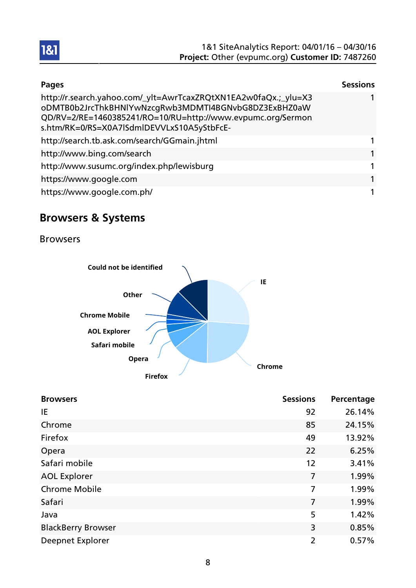| <b>Pages</b>                                                                                                                                                                                                                         | <b>Sessions</b> |
|--------------------------------------------------------------------------------------------------------------------------------------------------------------------------------------------------------------------------------------|-----------------|
| http://r.search.yahoo.com/_ylt=AwrTcaxZRQtXN1EA2w0faQx.;_ylu=X3<br>oDMTB0b2JrcThkBHNlYwNzcgRwb3MDMTI4BGNvbG8DZ3ExBHZ0aW<br>QD/RV=2/RE=1460385241/RO=10/RU=http://www.evpumc.org/Sermon<br>s.htm/RK=0/RS=X0A7lSdmlDEVVLxS10A5yStbFcE- |                 |
| http://search.tb.ask.com/search/GGmain.jhtml                                                                                                                                                                                         | 1               |
| http://www.bing.com/search                                                                                                                                                                                                           | 1               |
| http://www.susumc.org/index.php/lewisburg                                                                                                                                                                                            | 1               |
| https://www.google.com                                                                                                                                                                                                               | 1               |
| https://www.google.com.ph/                                                                                                                                                                                                           | 1               |

# Browsers & Systems

Browsers



| <b>Browsers</b>           | <b>Sessions</b> | Percentage |
|---------------------------|-----------------|------------|
| IE                        | 92              | 26.14%     |
| Chrome                    | 85              | 24.15%     |
| Firefox                   | 49              | 13.92%     |
| Opera                     | 22              | 6.25%      |
| Safari mobile             | 12              | 3.41%      |
| <b>AOL Explorer</b>       | 7               | 1.99%      |
| <b>Chrome Mobile</b>      | 7               | 1.99%      |
| Safari                    | 7               | 1.99%      |
| Java                      | 5               | 1.42%      |
| <b>BlackBerry Browser</b> | 3               | 0.85%      |
| Deepnet Explorer          | $\overline{2}$  | 0.57%      |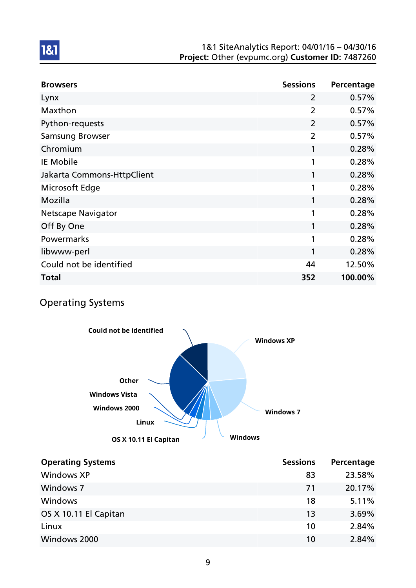| <b>Browsers</b>            | <b>Sessions</b> | Percentage |
|----------------------------|-----------------|------------|
| Lynx                       | 2               | 0.57%      |
| Maxthon                    | $\overline{2}$  | 0.57%      |
| Python-requests            | $\overline{2}$  | 0.57%      |
| <b>Samsung Browser</b>     | $\overline{2}$  | 0.57%      |
| Chromium                   | 1               | 0.28%      |
| <b>IE Mobile</b>           | 1               | 0.28%      |
| Jakarta Commons-HttpClient | 1               | 0.28%      |
| Microsoft Edge             | 1               | 0.28%      |
| Mozilla                    | 1               | 0.28%      |
| <b>Netscape Navigator</b>  | 1               | 0.28%      |
| Off By One                 | 1               | 0.28%      |
| Powermarks                 | 1               | 0.28%      |
| libwww-perl                | 1               | 0.28%      |
| Could not be identified    | 44              | 12.50%     |
| <b>Total</b>               | 352             | 100.00%    |

## Operating Systems



| <b>Operating Systems</b> | <b>Sessions</b> | Percentage |
|--------------------------|-----------------|------------|
| <b>Windows XP</b>        | 83              | 23.58%     |
| <b>Windows 7</b>         | 71              | 20.17%     |
| <b>Windows</b>           | 18              | 5.11%      |
| OS X 10.11 El Capitan    | 13              | 3.69%      |
| Linux                    | 10              | 2.84%      |
| Windows 2000             | 10              | 2.84%      |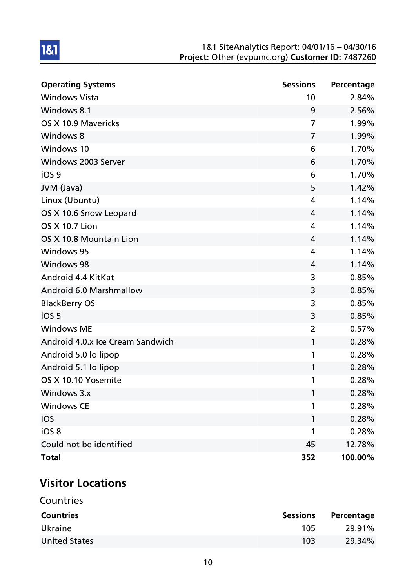| <b>Operating Systems</b>         | <b>Sessions</b> | Percentage |
|----------------------------------|-----------------|------------|
| <b>Windows Vista</b>             | 10              | 2.84%      |
| Windows 8.1                      | 9               | 2.56%      |
| OS X 10.9 Mavericks              | $\overline{7}$  | 1.99%      |
| <b>Windows 8</b>                 | 7               | 1.99%      |
| Windows 10                       | 6               | 1.70%      |
| Windows 2003 Server              | 6               | 1.70%      |
| iOS <sub>9</sub>                 | 6               | 1.70%      |
| JVM (Java)                       | 5               | 1.42%      |
| Linux (Ubuntu)                   | 4               | 1.14%      |
| OS X 10.6 Snow Leopard           | 4               | 1.14%      |
| <b>OS X 10.7 Lion</b>            | 4               | 1.14%      |
| OS X 10.8 Mountain Lion          | 4               | 1.14%      |
| <b>Windows 95</b>                | 4               | 1.14%      |
| <b>Windows 98</b>                | 4               | 1.14%      |
| Android 4.4 KitKat               | 3               | 0.85%      |
| Android 6.0 Marshmallow          | 3               | 0.85%      |
| <b>BlackBerry OS</b>             | 3               | 0.85%      |
| iOS <sub>5</sub>                 | 3               | 0.85%      |
| <b>Windows ME</b>                | $\overline{2}$  | 0.57%      |
| Android 4.0.x Ice Cream Sandwich | $\mathbf{1}$    | 0.28%      |
| Android 5.0 lollipop             | 1               | 0.28%      |
| Android 5.1 lollipop             | $\mathbf{1}$    | 0.28%      |
| OS X 10.10 Yosemite              | 1               | 0.28%      |
| Windows 3.x                      | 1               | 0.28%      |
| <b>Windows CE</b>                | 1               | 0.28%      |
| iOS                              | 1               | 0.28%      |
| iOS <sub>8</sub>                 | 1               | 0.28%      |
| Could not be identified          | 45              | 12.78%     |
| <b>Total</b>                     | 352             | 100.00%    |

# Visitor Locations

| Countries            |                 |            |
|----------------------|-----------------|------------|
| <b>Countries</b>     | <b>Sessions</b> | Percentage |
| Ukraine              | 105             | 29.91%     |
| <b>United States</b> | 103             | 29.34%     |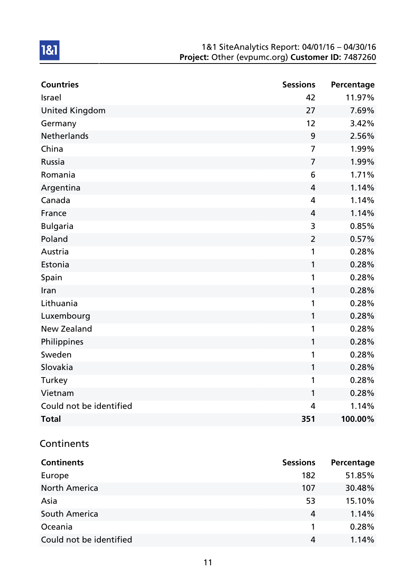| <b>Countries</b>        | <b>Sessions</b> | Percentage |
|-------------------------|-----------------|------------|
| <b>Israel</b>           | 42              | 11.97%     |
| <b>United Kingdom</b>   | 27              | 7.69%      |
| Germany                 | 12              | 3.42%      |
| <b>Netherlands</b>      | 9               | 2.56%      |
| China                   | $\overline{7}$  | 1.99%      |
| Russia                  | $\overline{7}$  | 1.99%      |
| Romania                 | 6               | 1.71%      |
| Argentina               | 4               | 1.14%      |
| Canada                  | 4               | 1.14%      |
| France                  | 4               | 1.14%      |
| <b>Bulgaria</b>         | 3               | 0.85%      |
| Poland                  | $\overline{2}$  | 0.57%      |
| Austria                 | 1               | 0.28%      |
| Estonia                 | 1               | 0.28%      |
| Spain                   | 1               | 0.28%      |
| Iran                    | 1               | 0.28%      |
| Lithuania               | 1               | 0.28%      |
| Luxembourg              | 1               | 0.28%      |
| <b>New Zealand</b>      | 1               | 0.28%      |
| Philippines             | 1               | 0.28%      |
| Sweden                  | 1               | 0.28%      |
| Slovakia                | 1               | 0.28%      |
| Turkey                  | 1               | 0.28%      |
| Vietnam                 | 1               | 0.28%      |
| Could not be identified | 4               | 1.14%      |
| <b>Total</b>            | 351             | 100.00%    |

## **Continents**

| <b>Continents</b>       | <b>Sessions</b> | Percentage |
|-------------------------|-----------------|------------|
| Europe                  | 182             | 51.85%     |
| <b>North America</b>    | 107             | 30.48%     |
| Asia                    | 53              | 15.10%     |
| <b>South America</b>    | 4               | 1.14%      |
| Oceania                 |                 | 0.28%      |
| Could not be identified | 4               | 1.14%      |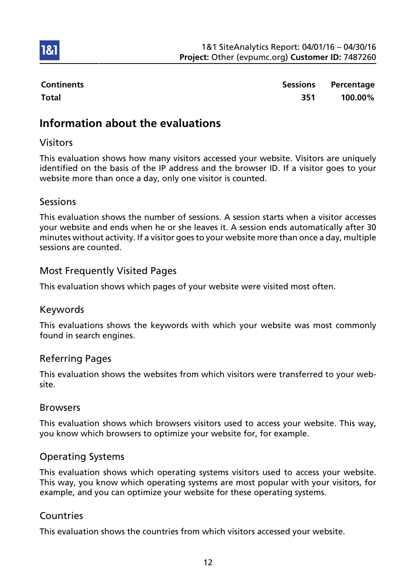

1&1

Continents **Sessions** Percentage Total 351 100.00%

# Information about the evaluations

## Visitors

This evaluation shows how many visitors accessed your website. Visitors are uniquely identified on the basis of the IP address and the browser ID. If a visitor goes to your website more than once a day, only one visitor is counted.

## Sessions

This evaluation shows the number of sessions. A session starts when a visitor accesses your website and ends when he or she leaves it. A session ends automatically after 30 minutes without activity. If a visitor goes to your website more than once a day, multiple sessions are counted.

## Most Frequently Visited Pages

This evaluation shows which pages of your website were visited most often.

### Keywords

This evaluations shows the keywords with which your website was most commonly found in search engines.

## Referring Pages

This evaluation shows the websites from which visitors were transferred to your website.

### Browsers

This evaluation shows which browsers visitors used to access your website. This way, you know which browsers to optimize your website for, for example.

## Operating Systems

This evaluation shows which operating systems visitors used to access your website. This way, you know which operating systems are most popular with your visitors, for example, and you can optimize your website for these operating systems.

### **Countries**

This evaluation shows the countries from which visitors accessed your website.